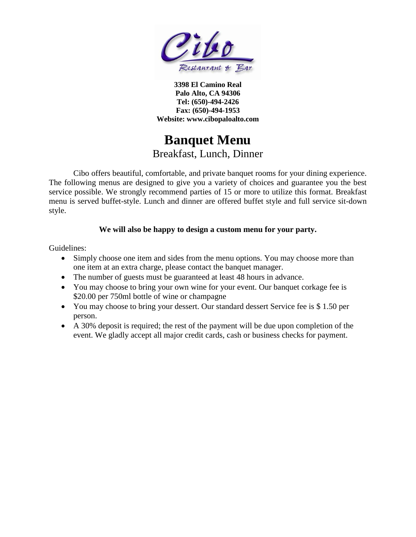

**3398 El Camino Real Palo Alto, CA 94306 Tel: (650)-494-2426 Fax: (650)-494-1953 Website: www.cibopaloalto.com**

# **Banquet Menu**

### Breakfast, Lunch, Dinner

Cibo offers beautiful, comfortable, and private banquet rooms for your dining experience. The following menus are designed to give you a variety of choices and guarantee you the best service possible. We strongly recommend parties of 15 or more to utilize this format. Breakfast menu is served buffet-style. Lunch and dinner are offered buffet style and full service sit-down style.

#### **We will also be happy to design a custom menu for your party.**

Guidelines:

- Simply choose one item and sides from the menu options. You may choose more than one item at an extra charge, please contact the banquet manager.
- The number of guests must be guaranteed at least 48 hours in advance.
- You may choose to bring your own wine for your event. Our banquet corkage fee is \$20.00 per 750ml bottle of wine or champagne
- You may choose to bring your dessert. Our standard dessert Service fee is \$1.50 per person.
- A 30% deposit is required; the rest of the payment will be due upon completion of the event. We gladly accept all major credit cards, cash or business checks for payment.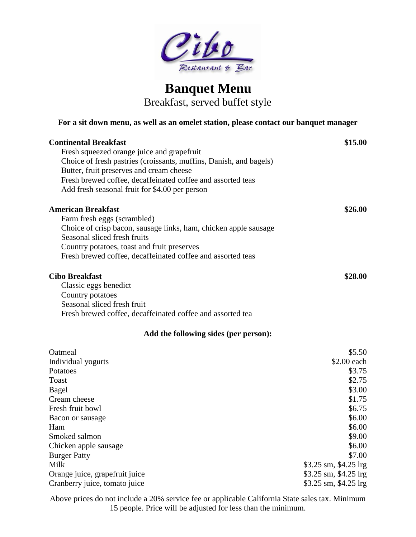

### **Banquet Menu** Breakfast, served buffet style

#### **For a sit down menu, as well as an omelet station, please contact our banquet manager**

| <b>Continental Breakfast</b>                                       | \$15.00               |
|--------------------------------------------------------------------|-----------------------|
| Fresh squeezed orange juice and grapefruit                         |                       |
| Choice of fresh pastries (croissants, muffins, Danish, and bagels) |                       |
| Butter, fruit preserves and cream cheese                           |                       |
| Fresh brewed coffee, decaffeinated coffee and assorted teas        |                       |
| Add fresh seasonal fruit for \$4.00 per person                     |                       |
| <b>American Breakfast</b>                                          | \$26.00               |
| Farm fresh eggs (scrambled)                                        |                       |
| Choice of crisp bacon, sausage links, ham, chicken apple sausage   |                       |
| Seasonal sliced fresh fruits                                       |                       |
| Country potatoes, toast and fruit preserves                        |                       |
| Fresh brewed coffee, decaffeinated coffee and assorted teas        |                       |
| <b>Cibo Breakfast</b>                                              | \$28.00               |
| Classic eggs benedict                                              |                       |
| Country potatoes                                                   |                       |
| Seasonal sliced fresh fruit                                        |                       |
| Fresh brewed coffee, decaffeinated coffee and assorted tea         |                       |
| Add the following sides (per person):                              |                       |
| Oatmeal                                                            | \$5.50                |
| Individual yogurts                                                 | \$2.00 each           |
| Potatoes                                                           | \$3.75                |
| Toast                                                              | \$2.75                |
| Bagel                                                              | \$3.00                |
| Cream cheese                                                       | \$1.75                |
| Fresh fruit bowl                                                   | \$6.75                |
| Bacon or sausage                                                   | \$6.00                |
| Ham                                                                | \$6.00                |
| Smoked salmon                                                      | \$9.00                |
| Chicken apple sausage                                              | \$6.00                |
| <b>Burger Patty</b>                                                | \$7.00                |
| Milk                                                               | \$3.25 sm, \$4.25 lrg |
| Orange juice, grapefruit juice                                     | \$3.25 sm, \$4.25 lrg |
| Cranberry juice, tomato juice                                      | \$3.25 sm, \$4.25 lrg |

Above prices do not include a 20% service fee or applicable California State sales tax. Minimum 15 people. Price will be adjusted for less than the minimum.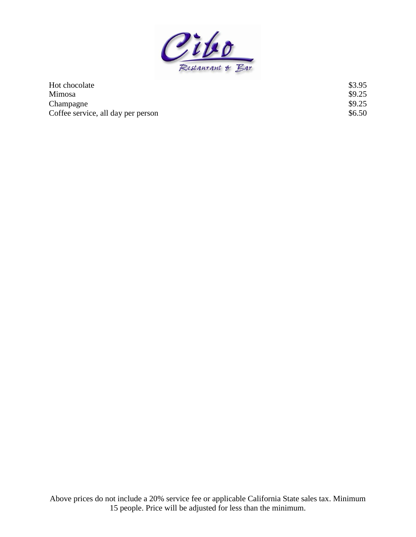

| Hot chocolate                      | \$3.95 |
|------------------------------------|--------|
| Mimosa                             | \$9.25 |
| Champagne                          | \$9.25 |
| Coffee service, all day per person | \$6.50 |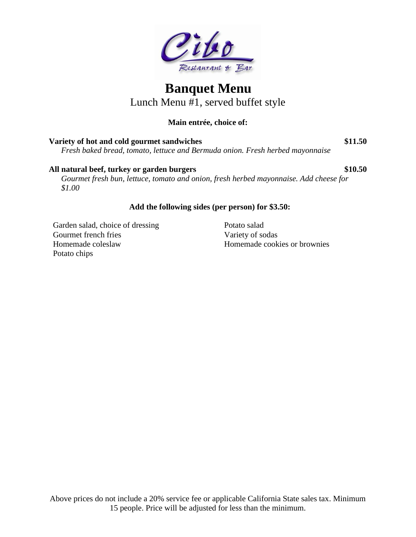

Lunch Menu #1, served buffet style

### **Main entrée, choice of:**

| Variety of hot and cold gourmet sandwiches                                    | \$11.50 |
|-------------------------------------------------------------------------------|---------|
| Fresh baked bread, tomato, lettuce and Bermuda onion. Fresh herbed mayonnaise |         |

#### All natural beef, turkey or garden burgers  $$10.50$

*Gourmet fresh bun, lettuce, tomato and onion, fresh herbed mayonnaise. Add cheese for \$1.00*

#### **Add the following sides (per person) for \$3.50:**

Garden salad, choice of dressing Gourmet french fries Homemade coleslaw Potato chips

Potato salad Variety of sodas Homemade cookies or brownies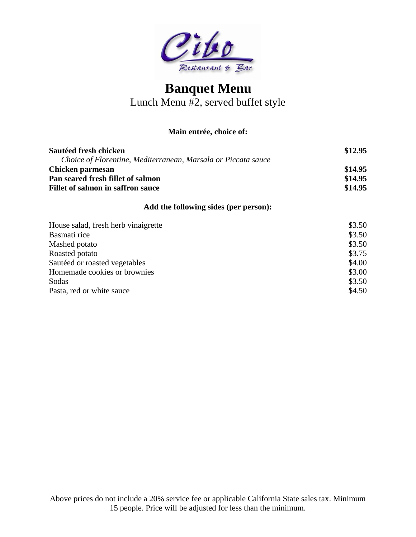

Lunch Menu #2, served buffet style

#### **Main entrée, choice of:**

| Sautéed fresh chicken                                         | \$12.95 |
|---------------------------------------------------------------|---------|
| Choice of Florentine, Mediterranean, Marsala or Piccata sauce |         |
| Chicken parmesan                                              | \$14.95 |
| Pan seared fresh fillet of salmon                             | \$14.95 |
| Fillet of salmon in saffron sauce                             | \$14.95 |

#### **Add the following sides (per person):**

| House salad, fresh herb vinaigrette | \$3.50 |
|-------------------------------------|--------|
| Basmati rice                        | \$3.50 |
| Mashed potato                       | \$3.50 |
| Roasted potato                      | \$3.75 |
| Sautéed or roasted vegetables       | \$4.00 |
| Homemade cookies or brownies        | \$3.00 |
| Sodas                               | \$3.50 |
| Pasta, red or white sauce           | \$4.50 |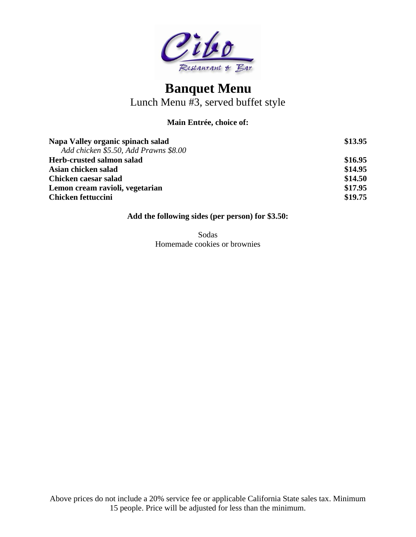

Lunch Menu #3, served buffet style

#### **Main Entrée, choice of:**

| Napa Valley organic spinach salad     | \$13.95 |
|---------------------------------------|---------|
| Add chicken \$5.50, Add Prawns \$8.00 |         |
| Herb-crusted salmon salad             | \$16.95 |
| Asian chicken salad                   | \$14.95 |
| Chicken caesar salad                  | \$14.50 |
| Lemon cream ravioli, vegetarian       | \$17.95 |
| <b>Chicken fettuccini</b>             | \$19.75 |

#### **Add the following sides (per person) for \$3.50:**

Sodas Homemade cookies or brownies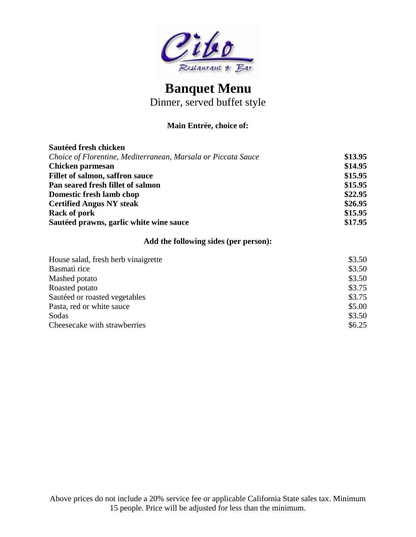

Dinner, served buffet style

#### **Main Entrée, choice of:**

| \$13.95 |
|---------|
| \$14.95 |
| \$15.95 |
| \$15.95 |
| \$22.95 |
| \$26.95 |
| \$15.95 |
| \$17.95 |
|         |

#### **Add the following sides (per person):**

| House salad, fresh herb vinaigrette | \$3.50 |
|-------------------------------------|--------|
| Basmati rice                        | \$3.50 |
| Mashed potato                       | \$3.50 |
| Roasted potato                      | \$3.75 |
| Sautéed or roasted vegetables       | \$3.75 |
| Pasta, red or white sauce           | \$5.00 |
| Sodas                               | \$3.50 |
| Cheesecake with strawberries        | \$6.25 |